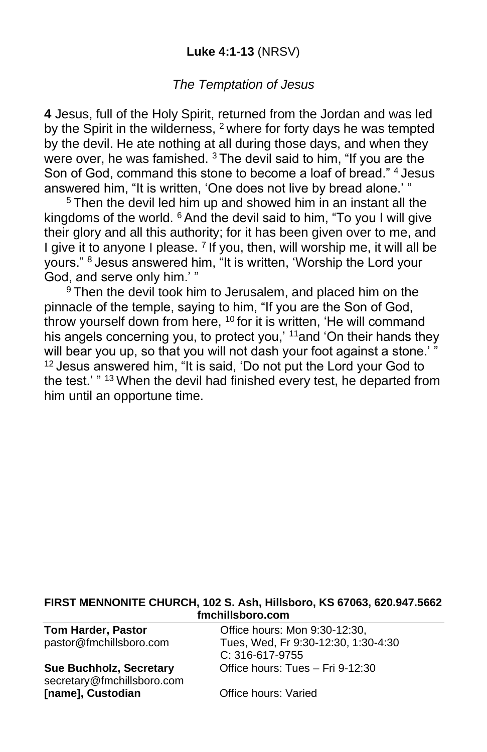## **Luke 4:1-13** (NRSV)

## *The Temptation of Jesus*

**4** Jesus, full of the Holy Spirit, returned from the Jordan and was led by the Spirit in the wilderness, <sup>2</sup> where for forty days he was tempted by the devil. He ate nothing at all during those days, and when they were over, he was famished. <sup>3</sup> The devil said to him, "If you are the Son of God, command this stone to become a loaf of bread." <sup>4</sup> Jesus answered him, "It is written, 'One does not live by bread alone.' "

<sup>5</sup> Then the devil led him up and showed him in an instant all the kingdoms of the world.  $6$  And the devil said to him, "To you I will give their glory and all this authority; for it has been given over to me, and I give it to anyone I please. <sup>7</sup> If you, then, will worship me, it will all be yours." <sup>8</sup> Jesus answered him, "It is written, 'Worship the Lord your God, and serve only him.' "

<sup>9</sup> Then the devil took him to Jerusalem, and placed him on the pinnacle of the temple, saying to him, "If you are the Son of God, throw yourself down from here, <sup>10</sup> for it is written, 'He will command his angels concerning you, to protect you,' <sup>11</sup> and 'On their hands they will bear you up, so that you will not dash your foot against a stone.' <sup>12</sup> Jesus answered him, "It is said, 'Do not put the Lord your God to the test.' " <sup>13</sup> When the devil had finished every test, he departed from him until an opportune time.

#### **FIRST MENNONITE CHURCH, 102 S. Ash, Hillsboro, KS 67063, 620.947.5662 fmchillsboro.com**

secretary@fmchillsboro.com **[name], Custodian Office hours: Varied** 

**Tom Harder, Pastor Conservery Conservery Conservery Program** Office hours: Mon 9:30-12:30, pastor@fmchillsboro.com Tues, Wed, Fr 9:30-12:30, 1:30-4:30 C: 316-617-9755 **Sue Buchholz, Secretary** Office hours: Tues – Fri 9-12:30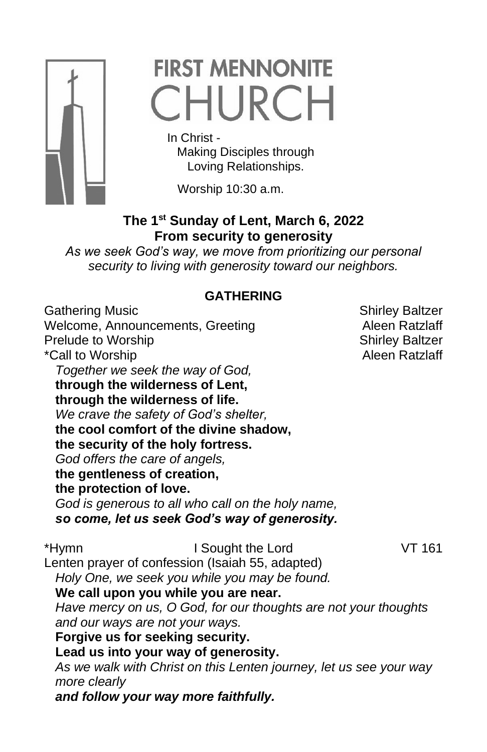

# **FIRST MENNONITE** CHURCH

In Christ -

 Making Disciples through Loving Relationships.

Worship 10:30 a.m.

# **The 1st Sunday of Lent, March 6, 2022 From security to generosity**

*As we seek God's way, we move from prioritizing our personal security to living with generosity toward our neighbors.*

## **GATHERING**

Gathering Music **Shirley Baltzer** Shirley Baltzer Welcome, Announcements, Greeting **Aleen Ratzlaff** Prelude to Worship New Shirley Baltzer \*Call to Worship **Alexander Alexander Alexander Alexander Alexander Alexander Alexander Alexander Alexander A** *Together we seek the way of God,* **through the wilderness of Lent, through the wilderness of life.** *We crave the safety of God's shelter,* **the cool comfort of the divine shadow, the security of the holy fortress.** *God offers the care of angels,* **the gentleness of creation, the protection of love.** *God is generous to all who call on the holy name, so come, let us seek God's way of generosity.* \*Hymn I Sought the Lord VT 161 Lenten prayer of confession (Isaiah 55, adapted) *Holy One, we seek you while you may be found.* **We call upon you while you are near.** *Have mercy on us, O God, for our thoughts are not your thoughts and our ways are not your ways.* **Forgive us for seeking security. Lead us into your way of generosity.** *As we walk with Christ on this Lenten journey, let us see your way more clearly and follow your way more faithfully.*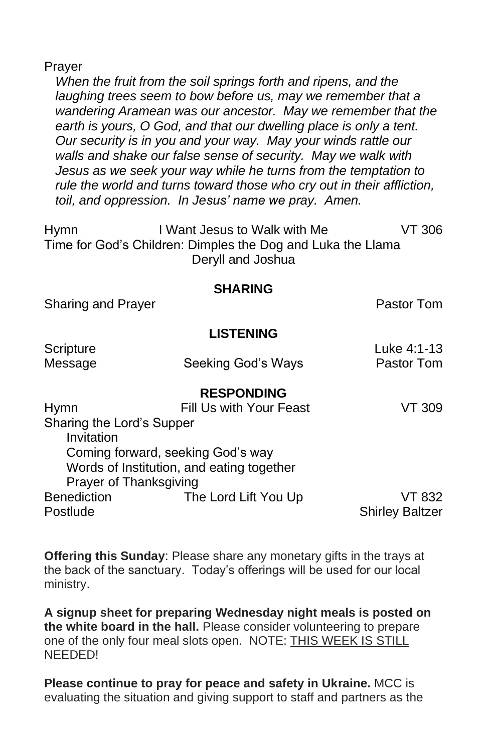Prayer

*When the fruit from the soil springs forth and ripens, and the laughing trees seem to bow before us, may we remember that a wandering Aramean was our ancestor. May we remember that the earth is yours, O God, and that our dwelling place is only a tent. Our security is in you and your way. May your winds rattle our walls and shake our false sense of security. May we walk with Jesus as we seek your way while he turns from the temptation to rule the world and turns toward those who cry out in their affliction, toil, and oppression. In Jesus' name we pray. Amen.*

Hymn I Want Jesus to Walk with Me VT 306 Time for God's Children: Dimples the Dog and Luka the Llama Deryll and Joshua

#### **SHARING**

Sharing and Prayer **Pastor Tom** 

### **LISTENING**

|                         | Luke 4:1-13                                                                                                                           |
|-------------------------|---------------------------------------------------------------------------------------------------------------------------------------|
| Seeking God's Ways      | Pastor Tom                                                                                                                            |
|                         |                                                                                                                                       |
| <b>RESPONDING</b>       |                                                                                                                                       |
| Fill Us with Your Feast | VT 309.                                                                                                                               |
|                         |                                                                                                                                       |
|                         |                                                                                                                                       |
|                         |                                                                                                                                       |
|                         |                                                                                                                                       |
|                         |                                                                                                                                       |
| The Lord Lift You Up    | VT 832                                                                                                                                |
|                         | <b>Shirley Baltzer</b>                                                                                                                |
|                         | Sharing the Lord's Supper<br>Coming forward, seeking God's way<br>Words of Institution, and eating together<br>Prayer of Thanksgiving |

**Offering this Sunday**: Please share any monetary gifts in the trays at the back of the sanctuary. Today's offerings will be used for our local ministry.

**A signup sheet for preparing Wednesday night meals is posted on the white board in the hall.** Please consider volunteering to prepare one of the only four meal slots open. NOTE: THIS WEEK IS STILL NEEDED!

**Please continue to pray for peace and safety in Ukraine.** MCC is evaluating the situation and giving support to staff and partners as the